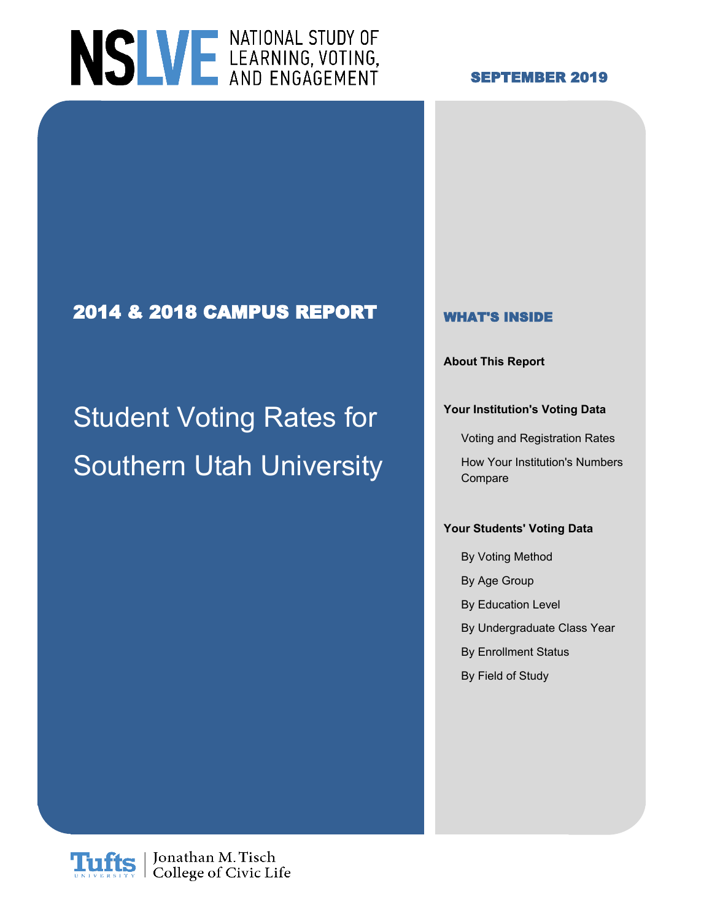# NSLVE LEARNING, VOTING,

### **SEPTEMBER 2019**

### **2014 & 2018 CAMPUS REPORT WHAT'S INSIDE**

# Student Voting Rates for **Institution's Voting Data** Southern Utah University How Your Institution's Numbers

**About This Report**

Voting and Registration Rates

Compare

#### **Your Students' Voting Data**

By Voting Method

- By Age Group
- By Education Level
- By Undergraduate Class Year
- By Enrollment Status
- By Field of Study

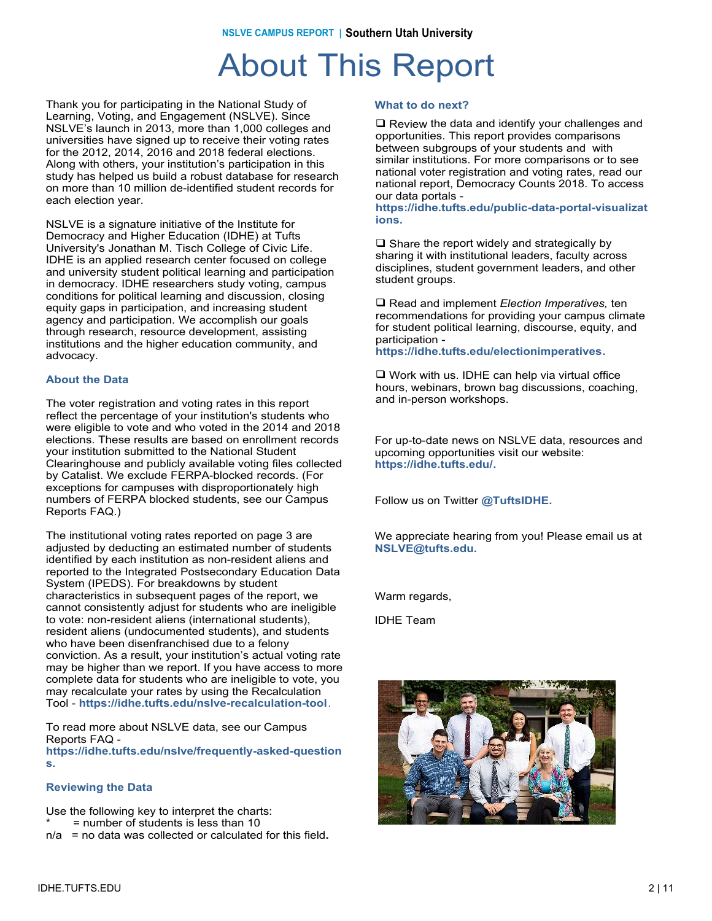### About This Report

Thank you for participating in the National Study of Learning, Voting, and Engagement (NSLVE). Since NSLVE's launch in 2013, more than 1,000 colleges and universities have signed up to receive their voting rates for the 2012, 2014, 2016 and 2018 federal elections. Along with others, your institution's participation in this study has helped us build a robust database for research on more than 10 million de-identified student records for each election year.

NSLVE is a signature initiative of the Institute for Democracy and Higher Education (IDHE) at Tufts University's Jonathan M. Tisch College of Civic Life. IDHE is an applied research center focused on college and university student political learning and participation in democracy. IDHE researchers study voting, campus conditions for political learning and discussion, closing equity gaps in participation, and increasing student agency and participation. We accomplish our goals through research, resource development, assisting institutions and the higher education community, and advocacy.

#### **About the Data**

The voter registration and voting rates in this report reflect the percentage of your institution's students who were eligible to vote and who voted in the 2014 and 2018 elections. These results are based on enrollment records your institution submitted to the National Student Clearinghouse and publicly available voting files collected by Catalist. We exclude FERPA-blocked records. (For exceptions for campuses with disproportionately high numbers of FERPA blocked students, see our Campus Reports FAQ.)

The institutional voting rates reported on page 3 are adjusted by deducting an estimated number of students identified by each institution as non-resident aliens and reported to the Integrated Postsecondary Education Data System (IPEDS). For breakdowns by student characteristics in subsequent pages of the report, we cannot consistently adjust for students who are ineligible to vote: non-resident aliens (international students), resident aliens (undocumented students), and students who have been disenfranchised due to a felony conviction. As a result, your institution's actual voting rate may be higher than we report. If you have access to more complete data for students who are ineligible to vote, you may recalculate your rates by using the Recalculation Tool - **https://idhe.tufts.edu/nslve-recalculation-tool**.

To read more about NSLVE data, see our Campus Reports FAQ **https://idhe.tufts.edu/nslve/frequently-asked-question s.**

#### **Reviewing the Data**

Use the following key to interpret the charts:

- $=$  number of students is less than 10
- n/a = no data was collected or calculated for this field**.**

#### **What to do next?**

 $\Box$  Review the data and identify your challenges and opportunities. This report provides comparisons between subgroups of your students and with similar institutions. For more comparisons or to see national voter registration and voting rates, read our national report, Democracy Counts 2018. To access our data portals -

**https://idhe.tufts.edu/public-data-portal-visualizat ions.**

 $\square$  Share the report widely and strategically by sharing it with institutional leaders, faculty across disciplines, student government leaders, and other student groups.

□ Read and *implement Election Imperatives*, ten recommendations for providing your campus climate for student political learning, discourse, equity, and participation **https://idhe.tufts.edu/electionimperatives.**

 $\Box$  Work with us. IDHE can help via virtual office hours, webinars, brown bag discussions, coaching, and in-person workshops.

For up-to-date news on NSLVE data, resources and upcoming opportunities visit our website: **https://idhe.tufts.edu/.**

Follow us on Twitter **@TuftsIDHE.**

We appreciate hearing from you! Please email us at **NSLVE@tufts.edu.**

Warm regards,

IDHE Team

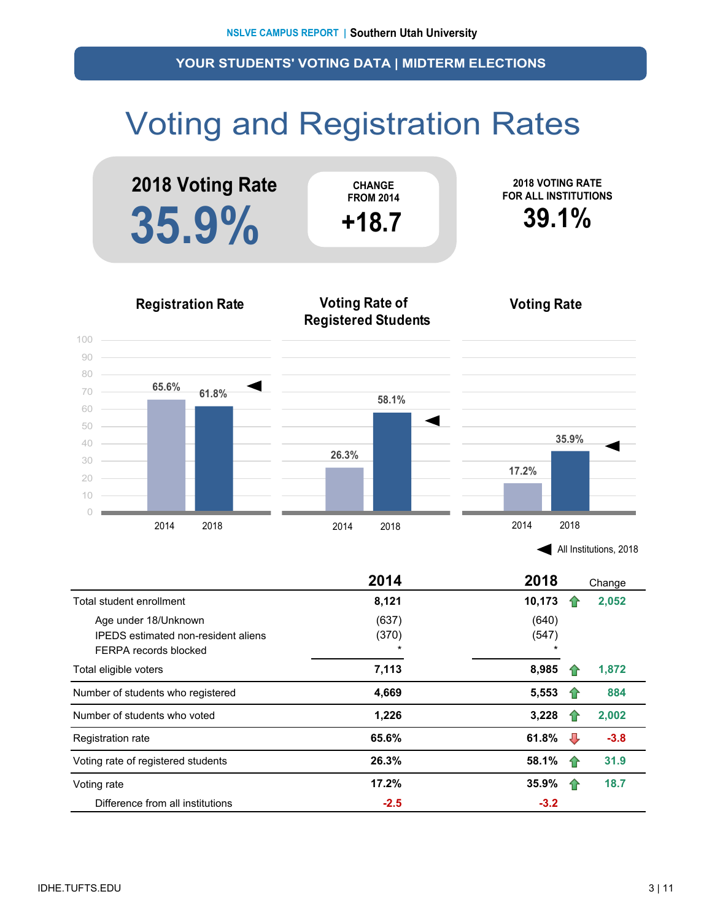## Voting and Registration Rates



|  | All Institutions, 2018 |  |
|--|------------------------|--|
|--|------------------------|--|

|                                                                                             | 2014                      | 2018                      | Change |  |
|---------------------------------------------------------------------------------------------|---------------------------|---------------------------|--------|--|
| Total student enrollment                                                                    | 8,121                     | 10,173                    | 2,052  |  |
| Age under 18/Unknown<br><b>IPEDS</b> estimated non-resident aliens<br>FERPA records blocked | (637)<br>(370)<br>$\star$ | (640)<br>(547)<br>$\star$ |        |  |
| Total eligible voters                                                                       | 7,113                     | 8,985                     | 1,872  |  |
| Number of students who registered                                                           | 4,669                     | 5,553                     | 884    |  |
| Number of students who voted                                                                | 1,226                     | 3,228                     | 2,002  |  |
| <b>Registration rate</b>                                                                    | 65.6%                     | 61.8%<br>⊕                | $-3.8$ |  |
| Voting rate of registered students                                                          | 26.3%                     | 58.1%<br>-17              | 31.9   |  |
| Voting rate                                                                                 | 17.2%                     | 35.9%<br>1P               | 18.7   |  |
| Difference from all institutions                                                            | $-2.5$                    | $-3.2$                    |        |  |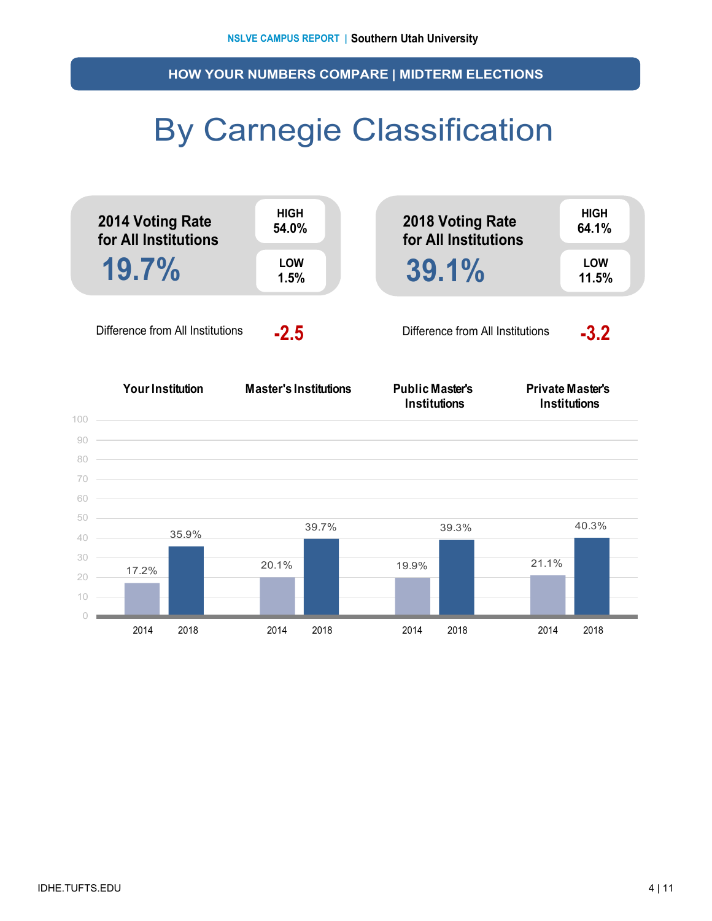**HOW YOUR NUMBERS COMPARE | MIDTERM ELECTIONS**

### By Carnegie Classification

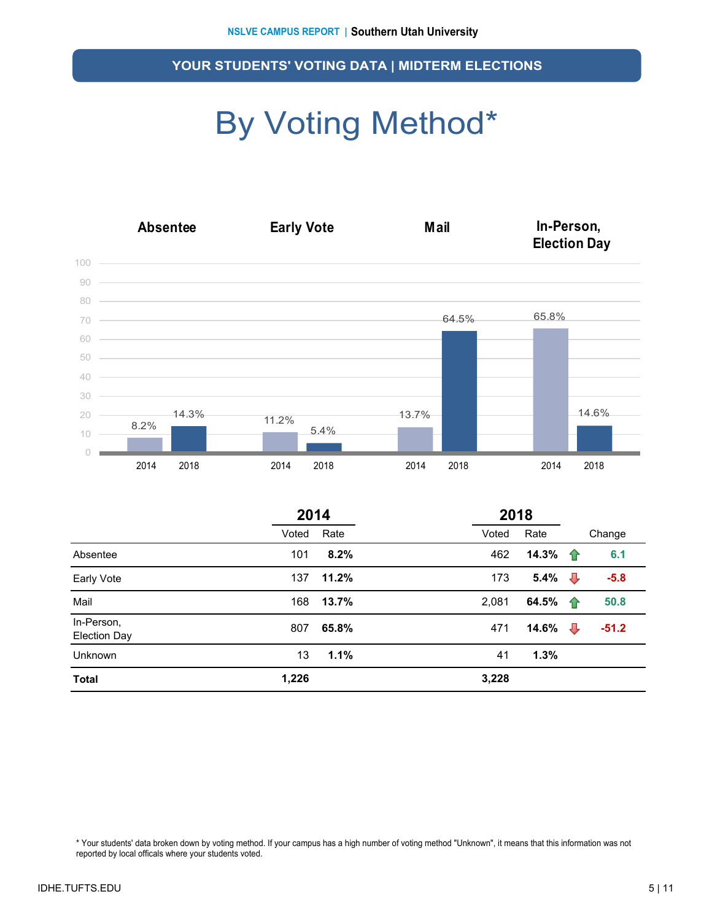## By Voting Method\*



|                                   | 2014  |       | 2018  |       |                    |         |  |  |
|-----------------------------------|-------|-------|-------|-------|--------------------|---------|--|--|
|                                   | Voted | Rate  | Voted | Rate  |                    | Change  |  |  |
| Absentee                          | 101   | 8.2%  | 462   | 14.3% | ⇑                  | 6.1     |  |  |
| Early Vote                        | 137   | 11.2% | 173   | 5.4%  | ⇩                  | $-5.8$  |  |  |
| Mail                              | 168   | 13.7% | 2,081 | 64.5% | $\hat{\mathbf{T}}$ | 50.8    |  |  |
| In-Person,<br><b>Election Day</b> | 807   | 65.8% | 471   | 14.6% | ⇩                  | $-51.2$ |  |  |
| Unknown                           | 13    | 1.1%  | 41    | 1.3%  |                    |         |  |  |
| <b>Total</b>                      | 1,226 |       | 3,228 |       |                    |         |  |  |

\* Your students' data broken down by voting method. If your campus has a high number of voting method "Unknown", it means that this information was not reported by local officals where your students voted.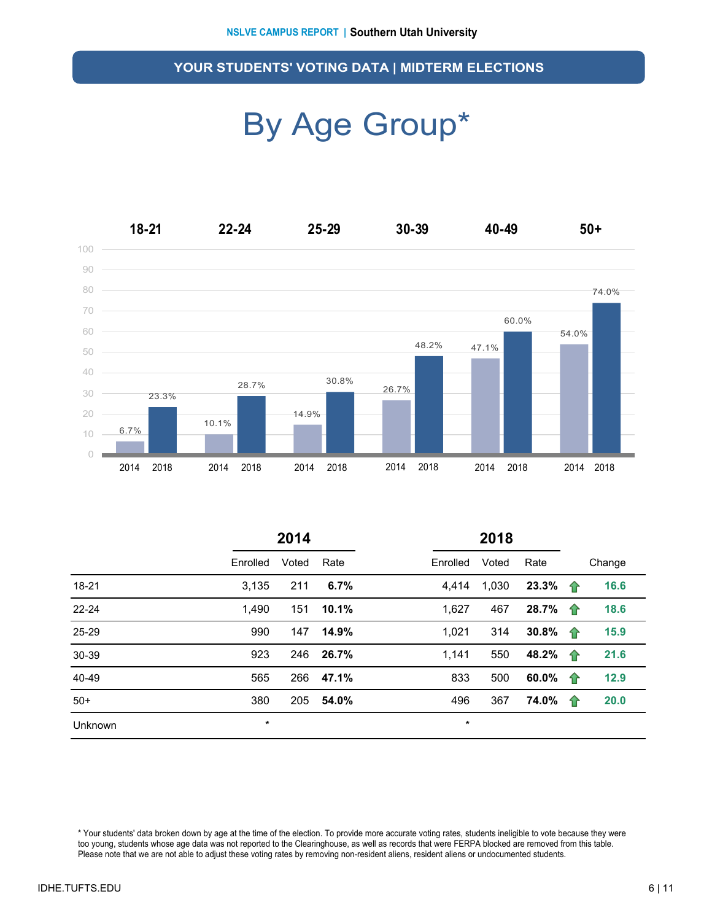### By Age Group\*



|         |          | 2014  |       | 2018     |       |       |   |        |  |
|---------|----------|-------|-------|----------|-------|-------|---|--------|--|
|         | Enrolled | Voted | Rate  | Enrolled | Voted | Rate  |   | Change |  |
| 18-21   | 3,135    | 211   | 6.7%  | 4.414    | 1,030 | 23.3% | ⇑ | 16.6   |  |
| 22-24   | 1,490    | 151   | 10.1% | 1,627    | 467   | 28.7% | 企 | 18.6   |  |
| 25-29   | 990      | 147   | 14.9% | 1,021    | 314   | 30.8% | ⇑ | 15.9   |  |
| 30-39   | 923      | 246   | 26.7% | 1.141    | 550   | 48.2% | 企 | 21.6   |  |
| 40-49   | 565      | 266   | 47.1% | 833      | 500   | 60.0% | ⇑ | 12.9   |  |
| $50+$   | 380      | 205   | 54.0% | 496      | 367   | 74.0% | ⇑ | 20.0   |  |
| Unknown | $\star$  |       |       | $\star$  |       |       |   |        |  |

\* Your students' data broken down by age at the time of the election. To provide more accurate voting rates, students ineligible to vote because they were too young, students whose age data was not reported to the Clearinghouse, as well as records that were FERPA blocked are removed from this table. Please note that we are not able to adjust these voting rates by removing non-resident aliens, resident aliens or undocumented students.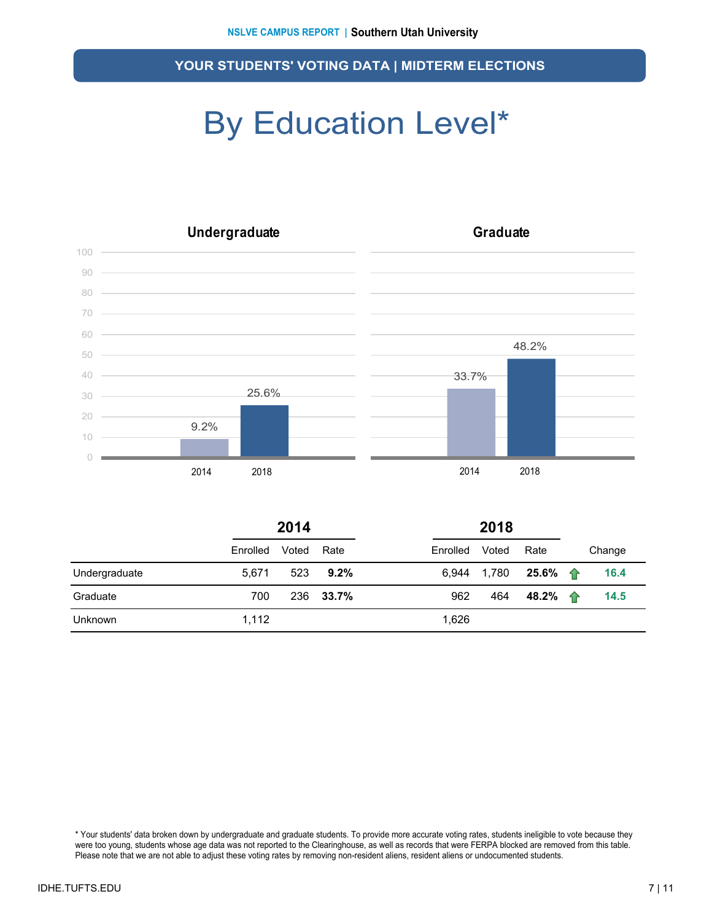### By Education Level\*



|                | 2014     |       |         | 2018     |       |                     |  |        |
|----------------|----------|-------|---------|----------|-------|---------------------|--|--------|
|                | Enrolled | Voted | Rate    | Enrolled | Voted | Rate                |  | Change |
| Undergraduate  | 5.671    | 523   | $9.2\%$ | 6.944    | 1,780 | 25.6% $\bigoplus$   |  | 16.4   |
| Graduate       | 700      | 236   | 33.7%   | 962      | 464   | 48.2% $\rightarrow$ |  | 14.5   |
| <b>Unknown</b> | 1,112    |       |         | 1,626    |       |                     |  |        |

\* Your students' data broken down by undergraduate and graduate students. To provide more accurate voting rates, students ineligible to vote because they were too young, students whose age data was not reported to the Clearinghouse, as well as records that were FERPA blocked are removed from this table. Please note that we are not able to adjust these voting rates by removing non-resident aliens, resident aliens or undocumented students.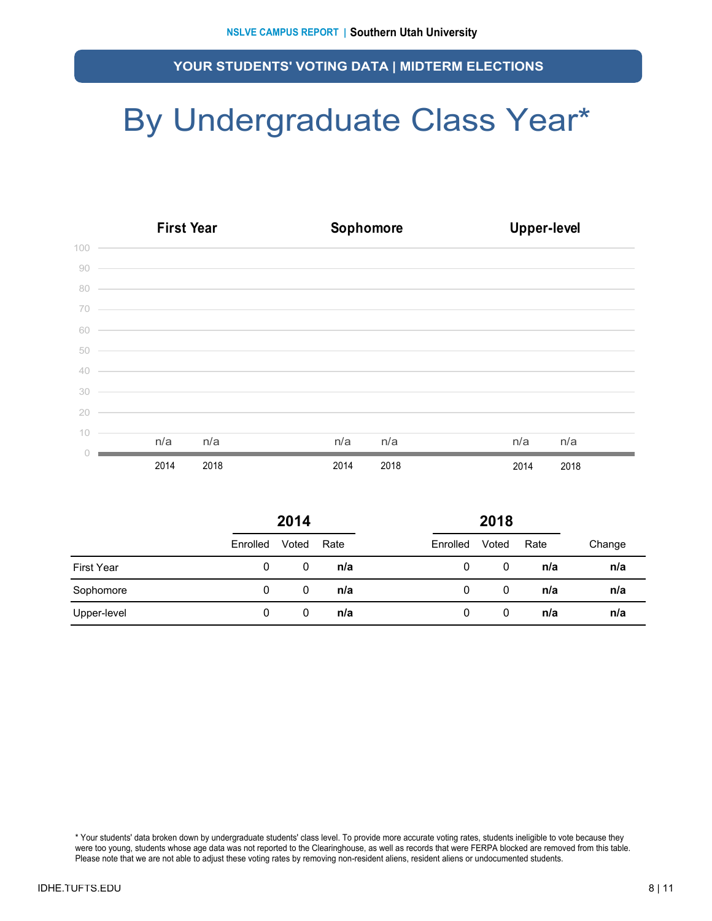### By Undergraduate Class Year\*

|        | <b>First Year</b>                                                                                                     | Sophomore                                                                                                            | <b>Upper-level</b> |
|--------|-----------------------------------------------------------------------------------------------------------------------|----------------------------------------------------------------------------------------------------------------------|--------------------|
| 100    |                                                                                                                       |                                                                                                                      |                    |
| 90     | <u> 1989 - Johann Stoff, amerikansk fotballstvansk fotballstvansk fotballstvansk fotballstvansk fotballstvansk fo</u> |                                                                                                                      |                    |
| 80     |                                                                                                                       | <u> Alexandro de la contrada de la contrada de la contrada de la contrada de la contrada de la contrada de la co</u> |                    |
| 70     | <u> Alban Alban Alban Alban Alban Alban Alban Alban Alban Alban Alban Alban Alban Alban Alban Alban Alban Alban A</u> |                                                                                                                      |                    |
| 60     | <u> 1999 - Jan James James James James James James James James James James James James James James James James J</u>  |                                                                                                                      |                    |
| 50     | <u> 1999 - Jan James James James James James James James James James James James James James James James James J</u>  |                                                                                                                      |                    |
| 40     | <u> 1989 - Jan Barbara de Santo de Santo de Santo de Santo de Santo de Santo de Santo de Santo de Santo de Santo</u>  |                                                                                                                      |                    |
| 30     | <u> 1989 - Johann Stoff, amerikansk politiker (d. 1989)</u>                                                           |                                                                                                                      |                    |
| 20     | ,我们也不会有什么。""我们的人,我们也不会有什么?""我们的人,我们也不会有什么?""我们的人,我们的人,我们的人,我们的人,我们的人,我们的人,我们的人,我                                      |                                                                                                                      |                    |
| 10     | n/a                                                                                                                   | n/a                                                                                                                  | n/a                |
| $\cap$ | n/a                                                                                                                   | n/a                                                                                                                  | n/a                |
|        | 2014<br>2018                                                                                                          | 2014<br>2018                                                                                                         | 2014<br>2018       |

|             | 2014     |       |      |          | 2018  |      |        |
|-------------|----------|-------|------|----------|-------|------|--------|
|             | Enrolled | Voted | Rate | Enrolled | Voted | Rate | Change |
| First Year  | 0        | 0     | n/a  | 0        | 0     | n/a  | n/a    |
| Sophomore   | 0        | 0     | n/a  | 0        | 0     | n/a  | n/a    |
| Upper-level | 0        | 0     | n/a  | 0        | 0     | n/a  | n/a    |

\* Your students' data broken down by undergraduate students' class level. To provide more accurate voting rates, students ineligible to vote because they were too young, students whose age data was not reported to the Clearinghouse, as well as records that were FERPA blocked are removed from this table. Please note that we are not able to adjust these voting rates by removing non-resident aliens, resident aliens or undocumented students.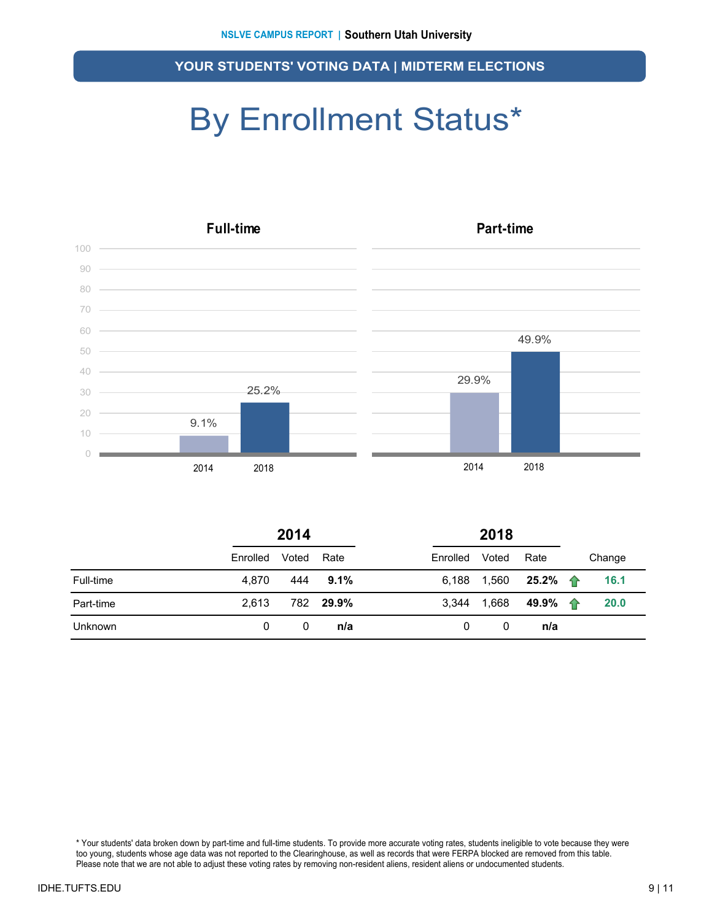### By Enrollment Status\*



|                | 2014     |       |           |          |       |                  |  |        |
|----------------|----------|-------|-----------|----------|-------|------------------|--|--------|
|                | Enrolled | Voted | Rate      | Enrolled | Voted | Rate             |  | Change |
| Full-time      | 4.870    | 444   | $9.1\%$   | 6.188    | 1,560 | 25.2% $\uparrow$ |  | 16.1   |
| Part-time      | 2.613    |       | 782 29.9% | 3,344    | 1,668 |                  |  | 20.0   |
| <b>Unknown</b> | 0        | 0     | n/a       | 0        | 0     | n/a              |  |        |

\* Your students' data broken down by part-time and full-time students. To provide more accurate voting rates, students ineligible to vote because they were too young, students whose age data was not reported to the Clearinghouse, as well as records that were FERPA blocked are removed from this table. Please note that we are not able to adjust these voting rates by removing non-resident aliens, resident aliens or undocumented students.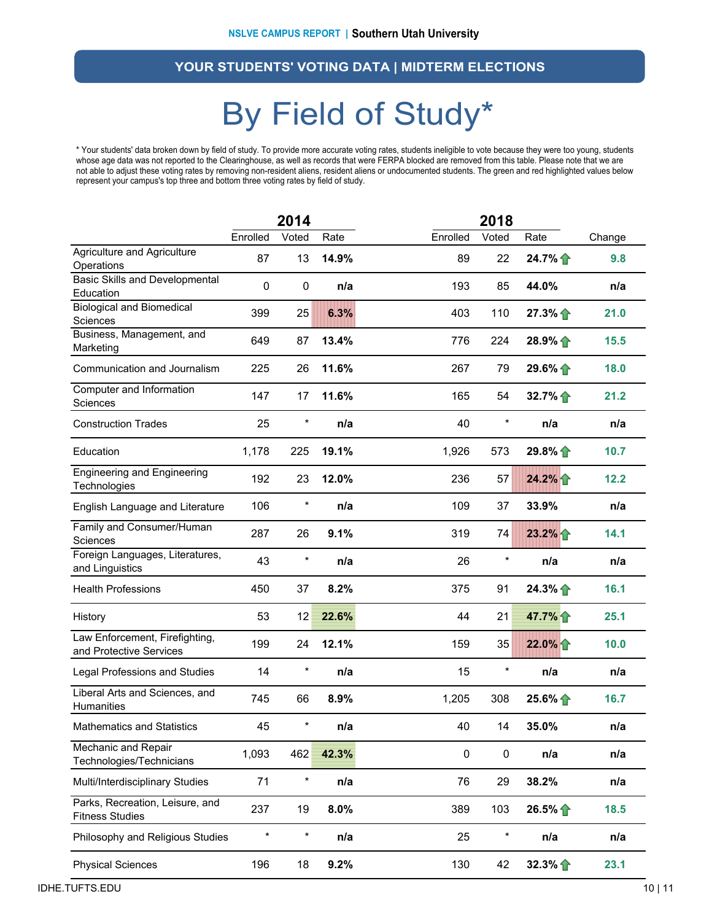### By Field of Study\*

\* Your students' data broken down by field of study. To provide more accurate voting rates, students ineligible to vote because they were too young, students whose age data was not reported to the Clearinghouse, as well as records that were FERPA blocked are removed from this table. Please note that we are not able to adjust these voting rates by removing non-resident aliens, resident aliens or undocumented students. The green and red highlighted values below represent your campus's top three and bottom three voting rates by field of study.

|                                                           |          | 2014       |       |           | 2018      |          |        |  |
|-----------------------------------------------------------|----------|------------|-------|-----------|-----------|----------|--------|--|
|                                                           | Enrolled | Voted      | Rate  | Enrolled  | Voted     | Rate     | Change |  |
| Agriculture and Agriculture<br>Operations                 | 87       | 13         | 14.9% | 89        | 22        | 24.7%    | 9.8    |  |
| <b>Basic Skills and Developmental</b><br>Education        | 0        | $\pmb{0}$  | n/a   | 193       | 85        | 44.0%    | n/a    |  |
| <b>Biological and Biomedical</b><br>Sciences              | 399      | 25         | 6.3%  | 403       | 110       | $27.3\%$ | 21.0   |  |
| Business, Management, and<br>Marketing                    | 649      | 87         | 13.4% | 776       | 224       | 28.9%    | 15.5   |  |
| Communication and Journalism                              | 225      | 26         | 11.6% | 267       | 79        | $29.6\%$ | 18.0   |  |
| Computer and Information<br>Sciences                      | 147      | 17         | 11.6% | 165       | 54        | 32.7%    | 21.2   |  |
| <b>Construction Trades</b>                                | 25       | $\ast$     | n/a   | 40        | $\ast$    | n/a      | n/a    |  |
| Education                                                 | 1,178    | 225        | 19.1% | 1,926     | 573       | $29.8\%$ | 10.7   |  |
| <b>Engineering and Engineering</b><br>Technologies        | 192      | 23         | 12.0% | 236       | 57        | 24.2%    | 12.2   |  |
| English Language and Literature                           | 106      | $\star$    | n/a   | 109       | 37        | 33.9%    | n/a    |  |
| Family and Consumer/Human<br>Sciences                     | 287      | 26         | 9.1%  | 319       | 74        | 23.2%    | 14.1   |  |
| Foreign Languages, Literatures,<br>and Linguistics        | 43       | $^{\star}$ | n/a   | 26        | $\ast$    | n/a      | n/a    |  |
| <b>Health Professions</b>                                 | 450      | 37         | 8.2%  | 375       | 91        | $24.3\%$ | 16.1   |  |
| History                                                   | 53       | 12         | 22.6% | 44        | 21        | 47.7%    | 25.1   |  |
| Law Enforcement, Firefighting,<br>and Protective Services | 199      | 24         | 12.1% | 159       | 35        | 22.0%    | 10.0   |  |
| Legal Professions and Studies                             | 14       | $\star$    | n/a   | 15        | $\ast$    | n/a      | n/a    |  |
| Liberal Arts and Sciences, and<br>Humanities              | 745      | 66         | 8.9%  | 1,205     | 308       | $25.6\%$ | 16.7   |  |
| <b>Mathematics and Statistics</b>                         | 45       | $^{\star}$ | n/a   | 40        | 14        | 35.0%    | n/a    |  |
| Mechanic and Repair<br>Technologies/Technicians           | 1,093    | 462        | 42.3% | $\pmb{0}$ | $\pmb{0}$ | n/a      | n/a    |  |
| Multi/Interdisciplinary Studies                           | 71       | $^{\star}$ | n/a   | 76        | 29        | 38.2%    | n/a    |  |
| Parks, Recreation, Leisure, and<br><b>Fitness Studies</b> | 237      | 19         | 8.0%  | 389       | 103       | 26.5%    | 18.5   |  |
| Philosophy and Religious Studies                          | $\star$  | $\star$    | n/a   | 25        | $\ast$    | n/a      | n/a    |  |
| <b>Physical Sciences</b>                                  | 196      | 18         | 9.2%  | 130       | 42        | 32.3%    | 23.1   |  |